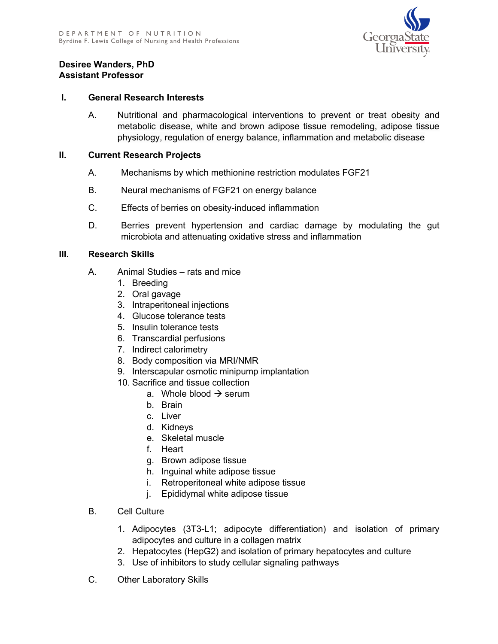

## **Desiree Wanders, PhD Assistant Professor**

## **I. General Research Interests**

A. Nutritional and pharmacological interventions to prevent or treat obesity and metabolic disease, white and brown adipose tissue remodeling, adipose tissue physiology, regulation of energy balance, inflammation and metabolic disease

## **II. Current Research Projects**

- A. Mechanisms by which methionine restriction modulates FGF21
- B. Neural mechanisms of FGF21 on energy balance
- C. Effects of berries on obesity-induced inflammation
- D. Berries prevent hypertension and cardiac damage by modulating the gut microbiota and attenuating oxidative stress and inflammation

## **III. Research Skills**

- A. Animal Studies rats and mice
	- 1. Breeding
	- 2. Oral gavage
	- 3. Intraperitoneal injections
	- 4. Glucose tolerance tests
	- 5. Insulin tolerance tests
	- 6. Transcardial perfusions
	- 7. Indirect calorimetry
	- 8. Body composition via MRI/NMR
	- 9. Interscapular osmotic minipump implantation
	- 10. Sacrifice and tissue collection
		- a. Whole blood  $\rightarrow$  serum
		- b. Brain
		- c. Liver
		- d. Kidneys
		- e. Skeletal muscle
		- f. Heart
		- g. Brown adipose tissue
		- h. Inguinal white adipose tissue
		- i. Retroperitoneal white adipose tissue
		- j. Epididymal white adipose tissue
- B. Cell Culture
	- 1. Adipocytes (3T3-L1; adipocyte differentiation) and isolation of primary adipocytes and culture in a collagen matrix
	- 2. Hepatocytes (HepG2) and isolation of primary hepatocytes and culture
	- 3. Use of inhibitors to study cellular signaling pathways
- C. Other Laboratory Skills